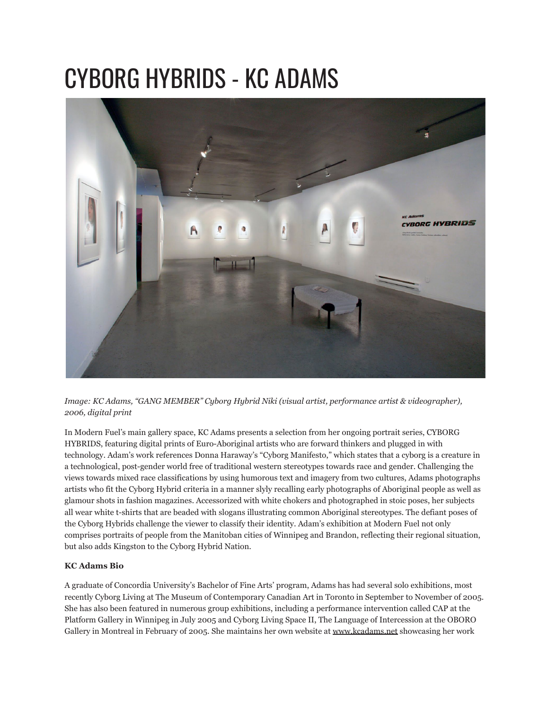## CYBORG HYBRIDS - KC ADAMS



*Image: KC Adams, "GANG MEMBER" Cyborg Hybrid Niki (visual artist, performance artist & videographer), 2006, digital print*

In Modern Fuel's main gallery space, KC Adams presents a selection from her ongoing portrait series, CYBORG HYBRIDS, featuring digital prints of Euro-Aboriginal artists who are forward thinkers and plugged in with technology. Adam's work references Donna Haraway's "Cyborg Manifesto," which states that a cyborg is a creature in a technological, post-gender world free of traditional western stereotypes towards race and gender. Challenging the views towards mixed race classifications by using humorous text and imagery from two cultures, Adams photographs artists who fit the Cyborg Hybrid criteria in a manner slyly recalling early photographs of Aboriginal people as well as glamour shots in fashion magazines. Accessorized with white chokers and photographed in stoic poses, her subjects all wear white t-shirts that are beaded with slogans illustrating common Aboriginal stereotypes. The defiant poses of the Cyborg Hybrids challenge the viewer to classify their identity. Adam's exhibition at Modern Fuel not only comprises portraits of people from the Manitoban cities of Winnipeg and Brandon, reflecting their regional situation, but also adds Kingston to the Cyborg Hybrid Nation.

## **KC Adams Bio**

A graduate of Concordia University's Bachelor of Fine Arts' program, Adams has had several solo exhibitions, most recently Cyborg Living at The Museum of Contemporary Canadian Art in Toronto in September to November of 2005. She has also been featured in numerous group exhibitions, including a performance intervention called CAP at the Platform Gallery in Winnipeg in July 2005 and Cyborg Living Space II, The Language of Intercession at the OBORO Gallery in Montreal in February of 2005. She maintains her own website at [www.kcadams.net](http://www.kcadams.net/) showcasing her work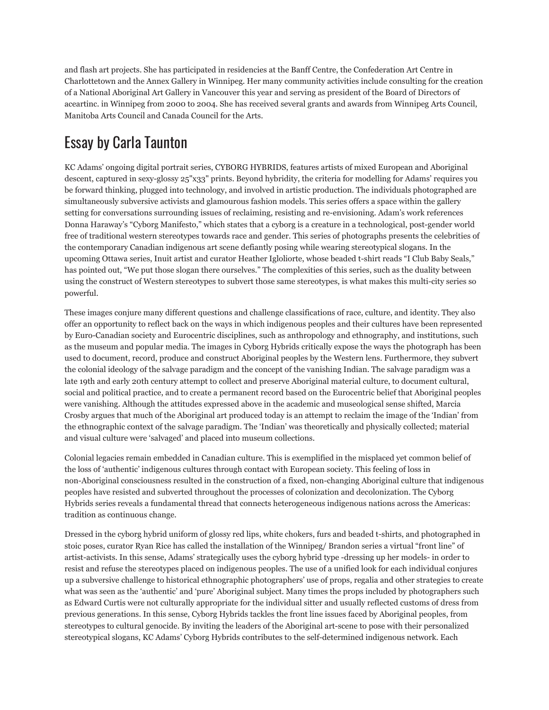and flash art projects. She has participated in residencies at the Banff Centre, the Confederation Art Centre in Charlottetown and the Annex Gallery in Winnipeg. Her many community activities include consulting for the creation of a National Aboriginal Art Gallery in Vancouver this year and serving as president of the Board of Directors of aceartinc. in Winnipeg from 2000 to 2004. She has received several grants and awards from Winnipeg Arts Council, Manitoba Arts Council and Canada Council for the Arts.

## Essay by Carla Taunton

KC Adams' ongoing digital portrait series, CYBORG HYBRIDS, features artists of mixed European and Aboriginal descent, captured in sexy-glossy 25"x33" prints. Beyond hybridity, the criteria for modelling for Adams' requires you be forward thinking, plugged into technology, and involved in artistic production. The individuals photographed are simultaneously subversive activists and glamourous fashion models. This series offers a space within the gallery setting for conversations surrounding issues of reclaiming, resisting and re-envisioning. Adam's work references Donna Haraway's "Cyborg Manifesto," which states that a cyborg is a creature in a technological, post-gender world free of traditional western stereotypes towards race and gender. This series of photographs presents the celebrities of the contemporary Canadian indigenous art scene defiantly posing while wearing stereotypical slogans. In the upcoming Ottawa series, Inuit artist and curator Heather Igloliorte, whose beaded t-shirt reads "I Club Baby Seals," has pointed out, "We put those slogan there ourselves." The complexities of this series, such as the duality between using the construct of Western stereotypes to subvert those same stereotypes, is what makes this multi-city series so powerful.

These images conjure many different questions and challenge classifications of race, culture, and identity. They also offer an opportunity to reflect back on the ways in which indigenous peoples and their cultures have been represented by Euro-Canadian society and Eurocentric disciplines, such as anthropology and ethnography, and institutions, such as the museum and popular media. The images in Cyborg Hybrids critically expose the ways the photograph has been used to document, record, produce and construct Aboriginal peoples by the Western lens. Furthermore, they subvert the colonial ideology of the salvage paradigm and the concept of the vanishing Indian. The salvage paradigm was a late 19th and early 20th century attempt to collect and preserve Aboriginal material culture, to document cultural, social and political practice, and to create a permanent record based on the Eurocentric belief that Aboriginal peoples were vanishing. Although the attitudes expressed above in the academic and museological sense shifted, Marcia Crosby argues that much of the Aboriginal art produced today is an attempt to reclaim the image of the 'Indian' from the ethnographic context of the salvage paradigm. The 'Indian' was theoretically and physically collected; material and visual culture were 'salvaged' and placed into museum collections.

Colonial legacies remain embedded in Canadian culture. This is exemplified in the misplaced yet common belief of the loss of 'authentic' indigenous cultures through contact with European society. This feeling of loss in non-Aboriginal consciousness resulted in the construction of a fixed, non-changing Aboriginal culture that indigenous peoples have resisted and subverted throughout the processes of colonization and decolonization. The Cyborg Hybrids series reveals a fundamental thread that connects heterogeneous indigenous nations across the Americas: tradition as continuous change.

Dressed in the cyborg hybrid uniform of glossy red lips, white chokers, furs and beaded t-shirts, and photographed in stoic poses, curator Ryan Rice has called the installation of the Winnipeg/ Brandon series a virtual "front line" of artist-activists. In this sense, Adams' strategically uses the cyborg hybrid type -dressing up her models- in order to resist and refuse the stereotypes placed on indigenous peoples. The use of a unified look for each individual conjures up a subversive challenge to historical ethnographic photographers' use of props, regalia and other strategies to create what was seen as the 'authentic' and 'pure' Aboriginal subject. Many times the props included by photographers such as Edward Curtis were not culturally appropriate for the individual sitter and usually reflected customs of dress from previous generations. In this sense, Cyborg Hybrids tackles the front line issues faced by Aboriginal peoples, from stereotypes to cultural genocide. By inviting the leaders of the Aboriginal art-scene to pose with their personalized stereotypical slogans, KC Adams' Cyborg Hybrids contributes to the self-determined indigenous network. Each